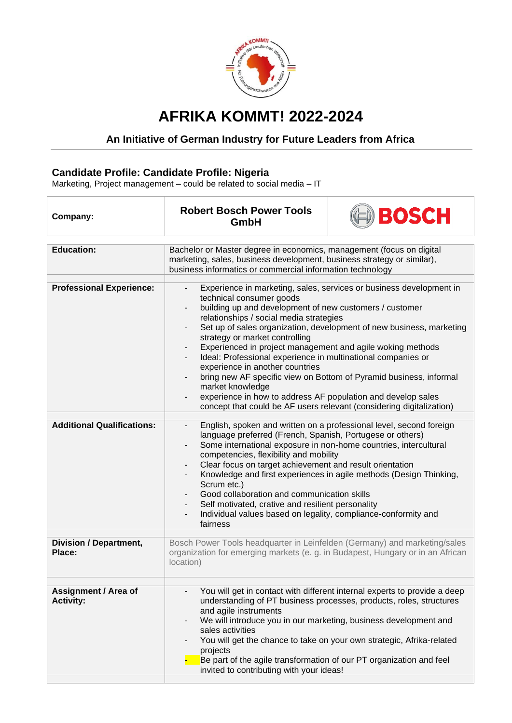

## **AFRIKA KOMMT! 2022-2024**

## **An Initiative of German Industry for Future Leaders from Africa**

## **Candidate Profile: Candidate Profile: Nigeria**

Marketing, Project management – could be related to social media – IT

| Company:                                        | <b>Robert Bosch Power Tools</b><br>GmbH                                                                                                                                                                                                                                                                                                                                                                                                                                                                                                                                                                                                                                                                                                                                    | BOSCH                                                                                                                                                                                                                     |
|-------------------------------------------------|----------------------------------------------------------------------------------------------------------------------------------------------------------------------------------------------------------------------------------------------------------------------------------------------------------------------------------------------------------------------------------------------------------------------------------------------------------------------------------------------------------------------------------------------------------------------------------------------------------------------------------------------------------------------------------------------------------------------------------------------------------------------------|---------------------------------------------------------------------------------------------------------------------------------------------------------------------------------------------------------------------------|
|                                                 |                                                                                                                                                                                                                                                                                                                                                                                                                                                                                                                                                                                                                                                                                                                                                                            |                                                                                                                                                                                                                           |
| <b>Education:</b>                               | Bachelor or Master degree in economics, management (focus on digital<br>marketing, sales, business development, business strategy or similar),<br>business informatics or commercial information technology                                                                                                                                                                                                                                                                                                                                                                                                                                                                                                                                                                |                                                                                                                                                                                                                           |
|                                                 |                                                                                                                                                                                                                                                                                                                                                                                                                                                                                                                                                                                                                                                                                                                                                                            |                                                                                                                                                                                                                           |
| <b>Professional Experience:</b>                 | Experience in marketing, sales, services or business development in<br>$\overline{\phantom{a}}$<br>technical consumer goods<br>building up and development of new customers / customer<br>relationships / social media strategies<br>Set up of sales organization, development of new business, marketing<br>strategy or market controlling<br>Experienced in project management and agile woking methods<br>$\overline{\phantom{a}}$<br>Ideal: Professional experience in multinational companies or<br>experience in another countries<br>bring new AF specific view on Bottom of Pyramid business, informal<br>market knowledge<br>experience in how to address AF population and develop sales<br>concept that could be AF users relevant (considering digitalization) |                                                                                                                                                                                                                           |
| <b>Additional Qualifications:</b>               | English, spoken and written on a professional level, second foreign<br>$\overline{\phantom{a}}$<br>language preferred (French, Spanish, Portugese or others)<br>Some international exposure in non-home countries, intercultural<br>competencies, flexibility and mobility<br>Clear focus on target achievement and result orientation<br>Knowledge and first experiences in agile methods (Design Thinking,<br>Scrum etc.)<br>Good collaboration and communication skills<br>Self motivated, crative and resilient personality<br>Individual values based on legality, compliance-conformity and<br>fairness                                                                                                                                                              |                                                                                                                                                                                                                           |
| <b>Division / Department,</b><br>Place:         | Bosch Power Tools headquarter in Leinfelden (Germany) and marketing/sales<br>organization for emerging markets (e. g. in Budapest, Hungary or in an African<br>location)                                                                                                                                                                                                                                                                                                                                                                                                                                                                                                                                                                                                   |                                                                                                                                                                                                                           |
|                                                 |                                                                                                                                                                                                                                                                                                                                                                                                                                                                                                                                                                                                                                                                                                                                                                            |                                                                                                                                                                                                                           |
| <b>Assignment / Area of</b><br><b>Activity:</b> | and agile instruments<br>We will introduce you in our marketing, business development and<br>$\overline{\phantom{a}}$<br>sales activities<br>projects<br>Be part of the agile transformation of our PT organization and feel<br>invited to contributing with your ideas!                                                                                                                                                                                                                                                                                                                                                                                                                                                                                                   | You will get in contact with different internal experts to provide a deep<br>understanding of PT business processes, products, roles, structures<br>You will get the chance to take on your own strategic, Afrika-related |